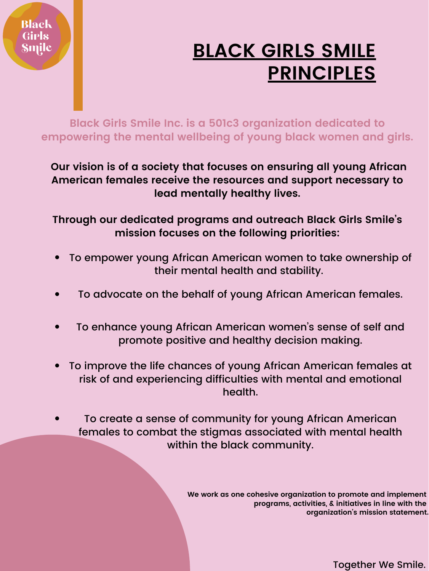**Black Girls Smile Inc. is a 501c3 organization dedicated to empowering the mental wellbeing of young black women and girls.**

**Our vision is of a society that focuses on ensuring all young African American females receive the resources and support necessary to lead mentally healthy lives.**

**Through our dedicated programs and outreach Black Girls Smile ' s mission focuses on the following priorities:**

- To empower young African American women to take ownership of their mental health and stability.
- To advocate on the behalf of young African American females.

- To enhance young African American women's sense of self and promote positive and healthy decision making.
- To improve the life chances of young African American females at  $\bullet$ risk of and experiencing difficulties with mental and emotional health.
- To create a sense of community for young African American females to combat the stigmas associated with mental health within the black community.

**We work as one cohesive organization to promote and implement programs, activities, & initiatives in line with the organization ' s mission statement.**

Together We Smile.

## **BLACK GIRLS SMILE PRINCIPLES**